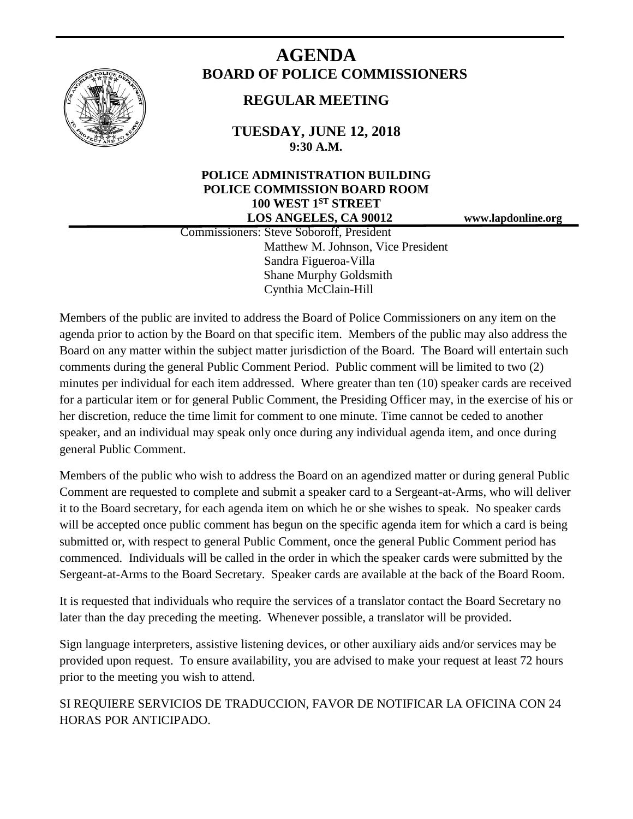

# **AGENDA BOARD OF POLICE COMMISSIONERS**

# **REGULAR MEETING**

**TUESDAY, JUNE 12, 2018 9:30 A.M.**

## **POLICE ADMINISTRATION BUILDING POLICE COMMISSION BOARD ROOM 100 WEST 1ST STREET LOS ANGELES, CA 90012 www.lapdonline.org**

 Commissioners: Steve Soboroff, President Matthew M. Johnson, Vice President Sandra Figueroa-Villa Shane Murphy Goldsmith Cynthia McClain-Hill

Members of the public are invited to address the Board of Police Commissioners on any item on the agenda prior to action by the Board on that specific item. Members of the public may also address the Board on any matter within the subject matter jurisdiction of the Board. The Board will entertain such comments during the general Public Comment Period. Public comment will be limited to two (2) minutes per individual for each item addressed. Where greater than ten (10) speaker cards are received for a particular item or for general Public Comment, the Presiding Officer may, in the exercise of his or her discretion, reduce the time limit for comment to one minute. Time cannot be ceded to another speaker, and an individual may speak only once during any individual agenda item, and once during general Public Comment.

Members of the public who wish to address the Board on an agendized matter or during general Public Comment are requested to complete and submit a speaker card to a Sergeant-at-Arms, who will deliver it to the Board secretary, for each agenda item on which he or she wishes to speak. No speaker cards will be accepted once public comment has begun on the specific agenda item for which a card is being submitted or, with respect to general Public Comment, once the general Public Comment period has commenced. Individuals will be called in the order in which the speaker cards were submitted by the Sergeant-at-Arms to the Board Secretary. Speaker cards are available at the back of the Board Room.

It is requested that individuals who require the services of a translator contact the Board Secretary no later than the day preceding the meeting. Whenever possible, a translator will be provided.

Sign language interpreters, assistive listening devices, or other auxiliary aids and/or services may be provided upon request. To ensure availability, you are advised to make your request at least 72 hours prior to the meeting you wish to attend.

SI REQUIERE SERVICIOS DE TRADUCCION, FAVOR DE NOTIFICAR LA OFICINA CON 24 HORAS POR ANTICIPADO.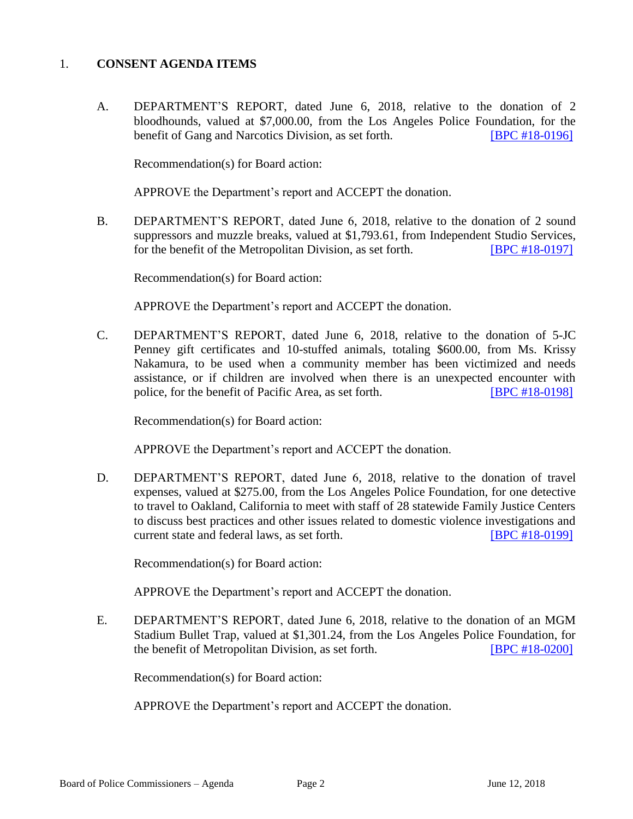#### 1. **CONSENT AGENDA ITEMS**

A. DEPARTMENT'S REPORT, dated June 6, 2018, relative to the donation of 2 bloodhounds, valued at \$7,000.00, from the Los Angeles Police Foundation, for the benefit of Gang and Narcotics Division, as set forth. **[\[BPC #18-0196\]](http://www.lapdpolicecom.lacity.org/061218/BPC_18-0196.pdf)** 

Recommendation(s) for Board action:

APPROVE the Department's report and ACCEPT the donation.

B. DEPARTMENT'S REPORT, dated June 6, 2018, relative to the donation of 2 sound suppressors and muzzle breaks, valued at \$1,793.61, from Independent Studio Services, for the benefit of the Metropolitan Division, as set forth. **[\[BPC #18-0197\]](http://www.lapdpolicecom.lacity.org/061218/BPC_18-0197.pdf)** 

Recommendation(s) for Board action:

APPROVE the Department's report and ACCEPT the donation.

C. DEPARTMENT'S REPORT, dated June 6, 2018, relative to the donation of 5-JC Penney gift certificates and 10-stuffed animals, totaling \$600.00, from Ms. Krissy Nakamura, to be used when a community member has been victimized and needs assistance, or if children are involved when there is an unexpected encounter with police, for the benefit of Pacific Area, as set forth. **[\[BPC #18-0198\]](http://www.lapdpolicecom.lacity.org/061218/BPC_18-0198.pdf)** 

Recommendation(s) for Board action:

APPROVE the Department's report and ACCEPT the donation.

D. DEPARTMENT'S REPORT, dated June 6, 2018, relative to the donation of travel expenses, valued at \$275.00, from the Los Angeles Police Foundation, for one detective to travel to Oakland, California to meet with staff of 28 statewide Family Justice Centers to discuss best practices and other issues related to domestic violence investigations and current state and federal laws, as set forth. [\[BPC #18-0199\]](http://www.lapdpolicecom.lacity.org/061218/BPC_18-0199.pdf)

Recommendation(s) for Board action:

APPROVE the Department's report and ACCEPT the donation.

E. DEPARTMENT'S REPORT, dated June 6, 2018, relative to the donation of an MGM Stadium Bullet Trap, valued at \$1,301.24, from the Los Angeles Police Foundation, for the benefit of Metropolitan Division, as set forth. **[\[BPC #18-0200\]](http://www.lapdpolicecom.lacity.org/061218/BPC_18-0200.pdf)** 

Recommendation(s) for Board action:

APPROVE the Department's report and ACCEPT the donation.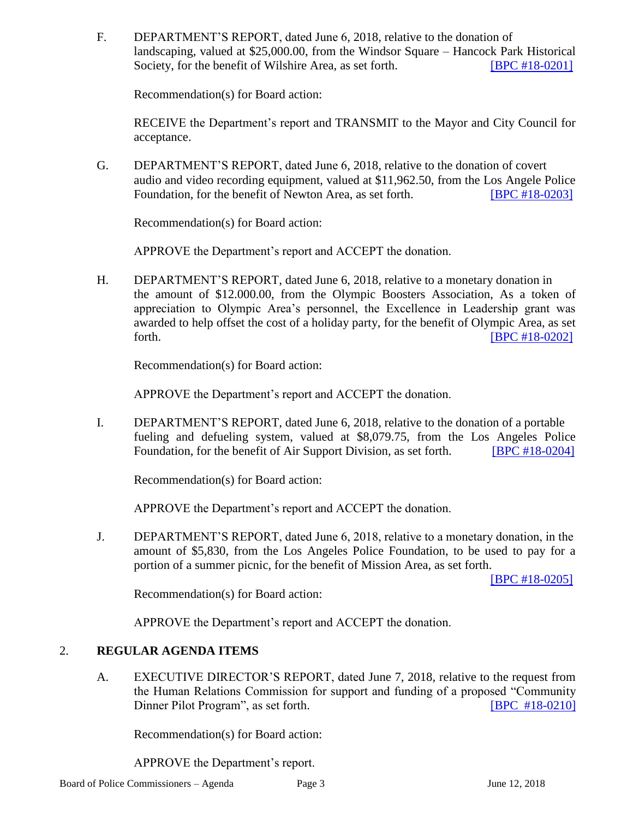F. DEPARTMENT'S REPORT, dated June 6, 2018, relative to the donation of landscaping, valued at \$25,000.00, from the Windsor Square – Hancock Park Historical Society, for the benefit of Wilshire Area, as set forth. **[\[BPC #18-0201\]](http://www.lapdpolicecom.lacity.org/061218/BPC_18-0201.pdf)** 

Recommendation(s) for Board action:

RECEIVE the Department's report and TRANSMIT to the Mayor and City Council for acceptance.

G. DEPARTMENT'S REPORT, dated June 6, 2018, relative to the donation of covert audio and video recording equipment, valued at \$11,962.50, from the Los Angele Police Foundation, for the benefit of Newton Area, as set forth. **IBPC #18-02031** 

Recommendation(s) for Board action:

APPROVE the Department's report and ACCEPT the donation.

H. DEPARTMENT'S REPORT, dated June 6, 2018, relative to a monetary donation in the amount of \$12.000.00, from the Olympic Boosters Association, As a token of appreciation to Olympic Area's personnel, the Excellence in Leadership grant was awarded to help offset the cost of a holiday party, for the benefit of Olympic Area, as set forth. **EXECUTE: EXECUTE: EXECUTE: EXECUTE: EXECUTE: EXECUTE: EXECUTE: EXECUTE: EXECUTE: EXECUTE: EXECUTE: EXECUTE: EXECUTE: EXECUTE: EXECUTE: EXECUTE: EXECUTE: EXECUTE: EXECUTE: EXECU** 

Recommendation(s) for Board action:

APPROVE the Department's report and ACCEPT the donation.

I. DEPARTMENT'S REPORT, dated June 6, 2018, relative to the donation of a portable fueling and defueling system, valued at \$8,079.75, from the Los Angeles Police Foundation, for the benefit of Air Support Division, as set forth. **[\[BPC #18-0204\]](http://www.lapdpolicecom.lacity.org/061218/BPC_18-0204.pdf)** 

Recommendation(s) for Board action:

APPROVE the Department's report and ACCEPT the donation.

J. DEPARTMENT'S REPORT, dated June 6, 2018, relative to a monetary donation, in the amount of \$5,830, from the Los Angeles Police Foundation, to be used to pay for a portion of a summer picnic, for the benefit of Mission Area, as set forth.

[\[BPC #18-0205\]](http://www.lapdpolicecom.lacity.org/061218/BPC_18-0205.pdf)

Recommendation(s) for Board action:

APPROVE the Department's report and ACCEPT the donation.

### 2. **REGULAR AGENDA ITEMS**

A. EXECUTIVE DIRECTOR'S REPORT, dated June 7, 2018, relative to the request from the Human Relations Commission for support and funding of a proposed "Community Dinner Pilot Program", as set forth. [\[BPC #18-0210\]](http://www.lapdpolicecom.lacity.org/061218/BPC_18-0210x.pdf)

Recommendation(s) for Board action:

APPROVE the Department's report.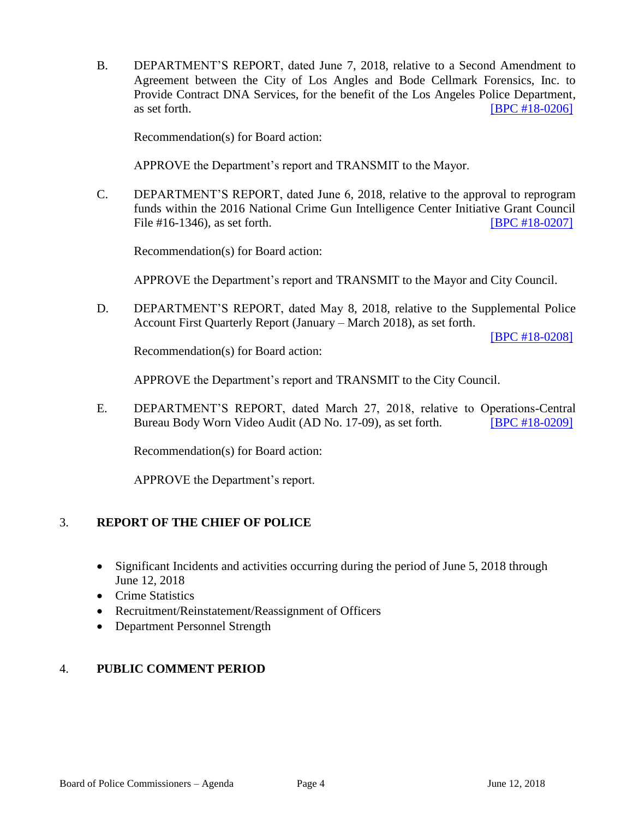B. DEPARTMENT'S REPORT, dated June 7, 2018, relative to a Second Amendment to Agreement between the City of Los Angles and Bode Cellmark Forensics, Inc. to Provide Contract DNA Services, for the benefit of the Los Angeles Police Department, as set forth. **[\[BPC #18-0206\]](http://www.lapdpolicecom.lacity.org/061218/BPC_18-0206.pdf)** 

Recommendation(s) for Board action:

APPROVE the Department's report and TRANSMIT to the Mayor.

C. DEPARTMENT'S REPORT, dated June 6, 2018, relative to the approval to reprogram funds within the 2016 National Crime Gun Intelligence Center Initiative Grant Council File #16-1346), as set forth. **IFIDE 2007** [\[BPC #18-0207\]](http://www.lapdpolicecom.lacity.org/061218/BPC_18-0207.pdf)

Recommendation(s) for Board action:

APPROVE the Department's report and TRANSMIT to the Mayor and City Council.

D. DEPARTMENT'S REPORT, dated May 8, 2018, relative to the Supplemental Police Account First Quarterly Report (January – March 2018), as set forth.

[\[BPC #18-0208\]](http://www.lapdpolicecom.lacity.org/061218/BPC_18-0208.pdf)

Recommendation(s) for Board action:

APPROVE the Department's report and TRANSMIT to the City Council.

E. DEPARTMENT'S REPORT, dated March 27, 2018, relative to Operations-Central Bureau Body Worn Video Audit (AD No. 17-09), as set forth. [\[BPC #18-0209\]](http://www.lapdpolicecom.lacity.org/061218/BPC_18-0209.pdf)

Recommendation(s) for Board action:

APPROVE the Department's report.

### 3. **REPORT OF THE CHIEF OF POLICE**

- Significant Incidents and activities occurring during the period of June 5, 2018 through June 12, 2018
- Crime Statistics
- Recruitment/Reinstatement/Reassignment of Officers
- Department Personnel Strength

### 4. **PUBLIC COMMENT PERIOD**